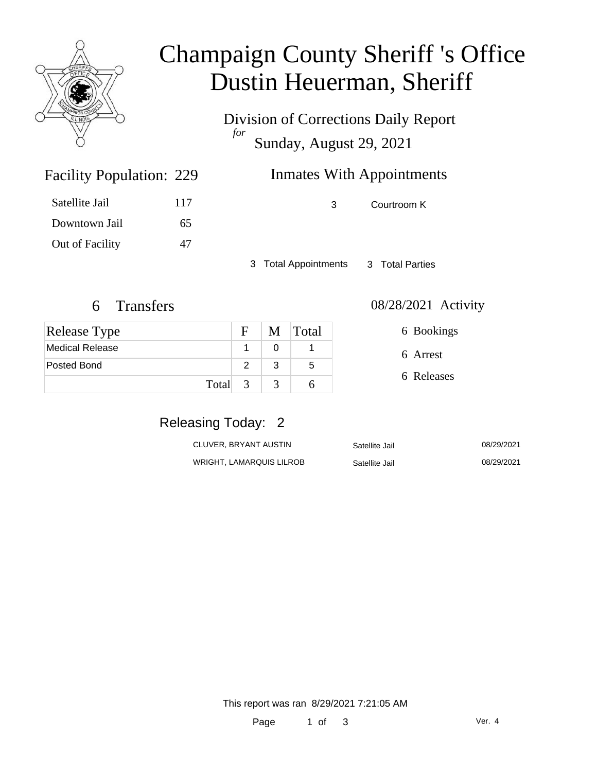

# Champaign County Sheriff 's Office Dustin Heuerman, Sheriff

Division of Corrections Daily Report *for* Sunday, August 29, 2021

# Inmates With Appointments

| Satellite Jail  | 117 |
|-----------------|-----|
| Downtown Jail   | 65. |
| Out of Facility | 47  |

Facility Population: 229

3 Courtroom K

3 Total Appointments 3 Total Parties

| <b>Release Type</b> | F             |   | M Total |
|---------------------|---------------|---|---------|
| Medical Release     |               |   |         |
| Posted Bond         | 2             | 3 | 5       |
| Total               | $\mathcal{R}$ | 3 |         |

#### 6 Transfers 08/28/2021 Activity

6 Arrest 6 Bookings

6 Releases

### Releasing Today: 2

| CLUVER. BRYANT AUSTIN    | Satellite Jail | 08/29/2021 |
|--------------------------|----------------|------------|
| WRIGHT. LAMARQUIS LILROB | Satellite Jail | 08/29/2021 |

This report was ran 8/29/2021 7:21:05 AM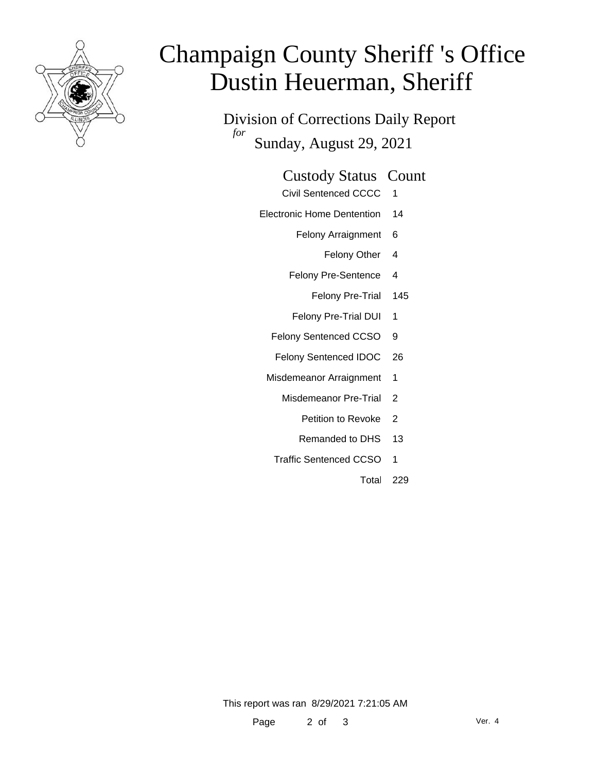

# Champaign County Sheriff 's Office Dustin Heuerman, Sheriff

Division of Corrections Daily Report *for* Sunday, August 29, 2021

#### Custody Status Count

- Civil Sentenced CCCC 1
- Electronic Home Dentention 14
	- Felony Arraignment 6
		- Felony Other 4
	- Felony Pre-Sentence 4
		- Felony Pre-Trial 145
	- Felony Pre-Trial DUI 1
	- Felony Sentenced CCSO 9
	- Felony Sentenced IDOC 26
	- Misdemeanor Arraignment 1
		- Misdemeanor Pre-Trial 2
			- Petition to Revoke 2
			- Remanded to DHS 13
		- Traffic Sentenced CCSO 1
			- Total 229

This report was ran 8/29/2021 7:21:05 AM